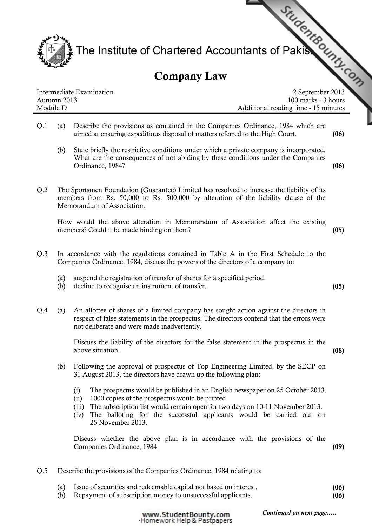

## Company Law

| Intermediate Examination |
|--------------------------|
| Autumn 2013              |
| Module D                 |

100 marks - 3 hours Additional reading time - 15 minutes

- Q.1 (a) Describe the provisions as contained in the Companies Ordinance, 1984 which are aimed at ensuring expeditious disposal of matters referred to the High Court. (06)
	- (b) State briefly the restrictive conditions under which a private company is incorporated. What are the consequences of not abiding by these conditions under the Companies Ordinance, 1984? (06)
- Q.2 The Sportsmen Foundation (Guarantee) Limited has resolved to increase the liability of its members from Rs. 50,000 to Rs. 500,000 by alteration of the liability clause of the Memorandum of Association.

How would the above alteration in Memorandum of Association affect the existing members? Could it be made binding on them? (05)

- Q.3 In accordance with the regulations contained in Table A in the First Schedule to the Companies Ordinance, 1984, discuss the powers of the directors of a company to:
	- (a) suspend the registration of transfer of shares for a specified period.
	- (b) decline to recognise an instrument of transfer. (05)
- Q.4 (a) An allottee of shares of a limited company has sought action against the directors in respect of false statements in the prospectus. The directors contend that the errors were not deliberate and were made inadvertently.

Discuss the liability of the directors for the false statement in the prospectus in the above situation. (08)

- (b) Following the approval of prospectus of Top Engineering Limited, by the SECP on 31 August 2013, the directors have drawn up the following plan:
	- (i) The prospectus would be published in an English newspaper on 25 October 2013.
	- (ii) 1000 copies of the prospectus would be printed.
	- (iii) The subscription list would remain open for two days on 10-11 November 2013.
	- (iv) The balloting for the successful applicants would be carried out on 25 November 2013.

Discuss whether the above plan is in accordance with the provisions of the Companies Ordinance, 1984. (09)

- Q.5 Describe the provisions of the Companies Ordinance, 1984 relating to:
	- (a) Issue of securities and redeemable capital not based on interest. (06)
	- (b) Repayment of subscription money to unsuccessful applicants. (06)

www.StudentBounty.com Homework Help & Pastpapers Continued on next page.....